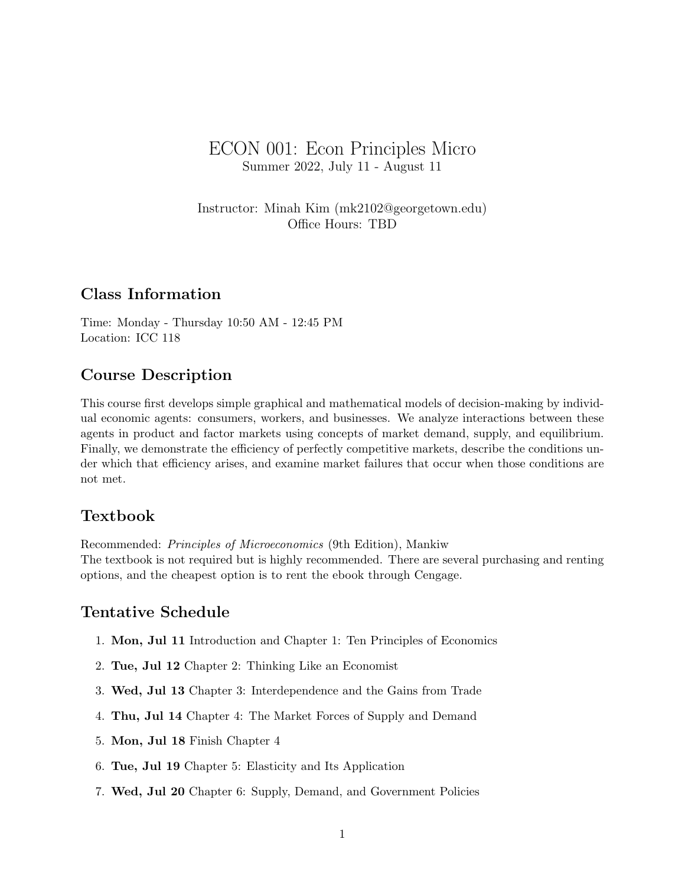# ECON 001: Econ Principles Micro Summer 2022, July 11 - August 11

Instructor: Minah Kim (mk2102@georgetown.edu) Office Hours: TBD

### Class Information

Time: Monday - Thursday 10:50 AM - 12:45 PM Location: ICC 118

### Course Description

This course first develops simple graphical and mathematical models of decision-making by individual economic agents: consumers, workers, and businesses. We analyze interactions between these agents in product and factor markets using concepts of market demand, supply, and equilibrium. Finally, we demonstrate the efficiency of perfectly competitive markets, describe the conditions under which that efficiency arises, and examine market failures that occur when those conditions are not met.

### Textbook

Recommended: Principles of Microeconomics (9th Edition), Mankiw The textbook is not required but is highly recommended. There are several purchasing and renting options, and the cheapest option is to rent the ebook through Cengage.

#### Tentative Schedule

- 1. Mon, Jul 11 Introduction and Chapter 1: Ten Principles of Economics
- 2. Tue, Jul 12 Chapter 2: Thinking Like an Economist
- 3. Wed, Jul 13 Chapter 3: Interdependence and the Gains from Trade
- 4. Thu, Jul 14 Chapter 4: The Market Forces of Supply and Demand
- 5. Mon, Jul 18 Finish Chapter 4
- 6. Tue, Jul 19 Chapter 5: Elasticity and Its Application
- 7. Wed, Jul 20 Chapter 6: Supply, Demand, and Government Policies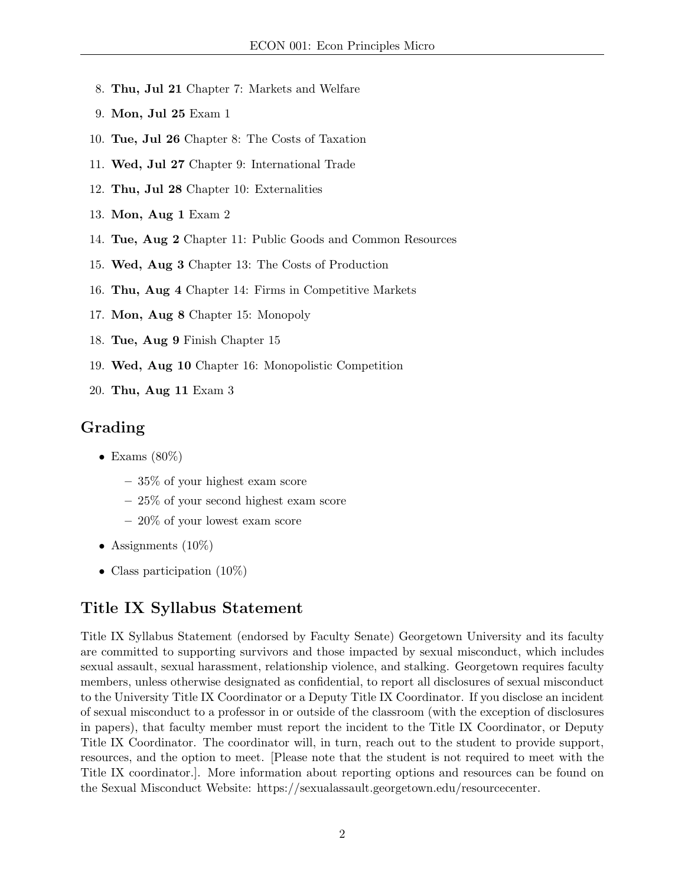- 8. Thu, Jul 21 Chapter 7: Markets and Welfare
- 9. Mon, Jul 25 Exam 1
- 10. Tue, Jul 26 Chapter 8: The Costs of Taxation
- 11. Wed, Jul 27 Chapter 9: International Trade
- 12. Thu, Jul 28 Chapter 10: Externalities
- 13. Mon, Aug 1 Exam 2
- 14. Tue, Aug 2 Chapter 11: Public Goods and Common Resources
- 15. Wed, Aug 3 Chapter 13: The Costs of Production
- 16. Thu, Aug 4 Chapter 14: Firms in Competitive Markets
- 17. Mon, Aug 8 Chapter 15: Monopoly
- 18. Tue, Aug 9 Finish Chapter 15
- 19. Wed, Aug 10 Chapter 16: Monopolistic Competition
- 20. Thu, Aug 11 Exam 3

## Grading

- Exams  $(80\%)$ 
	- 35% of your highest exam score
	- 25% of your second highest exam score
	- 20% of your lowest exam score
- Assignments  $(10\%)$
- Class participation  $(10\%)$

## Title IX Syllabus Statement

Title IX Syllabus Statement (endorsed by Faculty Senate) Georgetown University and its faculty are committed to supporting survivors and those impacted by sexual misconduct, which includes sexual assault, sexual harassment, relationship violence, and stalking. Georgetown requires faculty members, unless otherwise designated as confidential, to report all disclosures of sexual misconduct to the University Title IX Coordinator or a Deputy Title IX Coordinator. If you disclose an incident of sexual misconduct to a professor in or outside of the classroom (with the exception of disclosures in papers), that faculty member must report the incident to the Title IX Coordinator, or Deputy Title IX Coordinator. The coordinator will, in turn, reach out to the student to provide support, resources, and the option to meet. [Please note that the student is not required to meet with the Title IX coordinator.]. More information about reporting options and resources can be found on the Sexual Misconduct Website: https://sexualassault.georgetown.edu/resourcecenter.